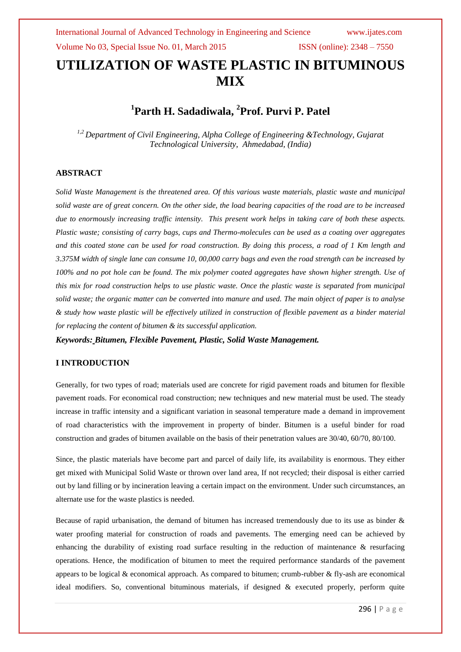# **UTILIZATION OF WASTE PLASTIC IN BITUMINOUS MIX**

# **1 Parth H. Sadadiwala, 2 Prof. Purvi P. Patel**

*1,2 Department of Civil Engineering, Alpha College of Engineering &Technology, Gujarat Technological University, Ahmedabad, (India)*

#### **ABSTRACT**

*Solid Waste Management is the threatened area. Of this various waste materials, plastic waste and municipal solid waste are of great concern. On the other side, the load bearing capacities of the road are to be increased due to enormously increasing traffic intensity. This present work helps in taking care of both these aspects. Plastic waste; consisting of carry bags, cups and Thermo-molecules can be used as a coating over aggregates and this coated stone can be used for road construction. By doing this process, a road of 1 Km length and 3.375M width of single lane can consume 10, 00,000 carry bags and even the road strength can be increased by 100% and no pot hole can be found. The mix polymer coated aggregates have shown higher strength. Use of this mix for road construction helps to use plastic waste. Once the plastic waste is separated from municipal solid waste; the organic matter can be converted into manure and used. The main object of paper is to analyse & study how waste plastic will be effectively utilized in construction of flexible pavement as a binder material for replacing the content of bitumen & its successful application.*

*Keywords: Bitumen, Flexible Pavement, Plastic, Solid Waste Management.*

## **I INTRODUCTION**

Generally, for two types of road; materials used are concrete for rigid pavement roads and bitumen for flexible pavement roads. For economical road construction; new techniques and new material must be used. The steady increase in traffic intensity and a significant variation in seasonal temperature made a demand in improvement of road characteristics with the improvement in property of binder. Bitumen is a useful binder for road construction and grades of bitumen available on the basis of their penetration values are 30/40, 60/70, 80/100.

Since, the plastic materials have become part and parcel of daily life, its availability is enormous. They either get mixed with Municipal Solid Waste or thrown over land area, If not recycled; their disposal is either carried out by land filling or by incineration leaving a certain impact on the environment. Under such circumstances, an alternate use for the waste plastics is needed.

Because of rapid urbanisation, the demand of bitumen has increased tremendously due to its use as binder  $\&$ water proofing material for construction of roads and pavements. The emerging need can be achieved by enhancing the durability of existing road surface resulting in the reduction of maintenance & resurfacing operations. Hence, the modification of bitumen to meet the required performance standards of the pavement appears to be logical & economical approach. As compared to bitumen; crumb-rubber & fly-ash are economical ideal modifiers. So, conventional bituminous materials, if designed & executed properly, perform quite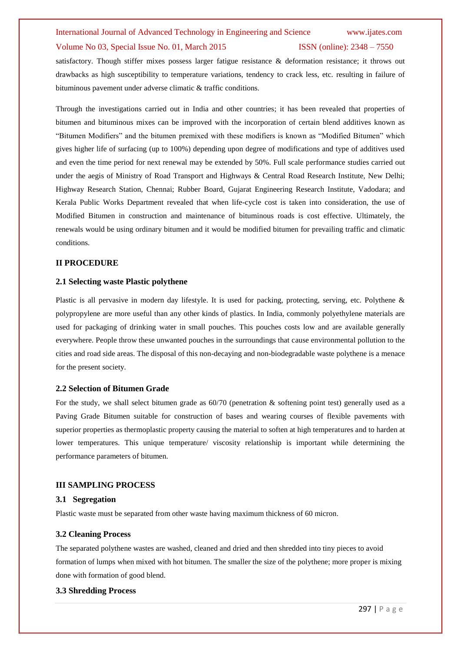# International Journal of Advanced Technology in Engineering and Science www.ijates.com Volume No 03, Special Issue No. 01, March 2015 ISSN (online): 2348 – 7550

satisfactory. Though stiffer mixes possess larger fatigue resistance & deformation resistance; it throws out drawbacks as high susceptibility to temperature variations, tendency to crack less, etc. resulting in failure of bituminous pavement under adverse climatic & traffic conditions.

Through the investigations carried out in India and other countries; it has been revealed that properties of bitumen and bituminous mixes can be improved with the incorporation of certain blend additives known as "Bitumen Modifiers" and the bitumen premixed with these modifiers is known as "Modified Bitumen" which gives higher life of surfacing (up to 100%) depending upon degree of modifications and type of additives used and even the time period for next renewal may be extended by 50%. Full scale performance studies carried out under the aegis of Ministry of Road Transport and Highways & Central Road Research Institute, New Delhi; Highway Research Station, Chennai; Rubber Board, Gujarat Engineering Research Institute, Vadodara; and Kerala Public Works Department revealed that when life-cycle cost is taken into consideration, the use of Modified Bitumen in construction and maintenance of bituminous roads is cost effective. Ultimately, the renewals would be using ordinary bitumen and it would be modified bitumen for prevailing traffic and climatic conditions.

#### **II PROCEDURE**

#### **2.1 Selecting waste Plastic polythene**

Plastic is all pervasive in modern day lifestyle. It is used for packing, protecting, serving, etc. Polythene & polypropylene are more useful than any other kinds of plastics. In India, commonly polyethylene materials are used for packaging of drinking water in small pouches. This pouches costs low and are available generally everywhere. People throw these unwanted pouches in the surroundings that cause environmental pollution to the cities and road side areas. The disposal of this non-decaying and non-biodegradable waste polythene is a menace for the present society.

#### **2.2 Selection of Bitumen Grade**

For the study, we shall select bitumen grade as 60/70 (penetration & softening point test) generally used as a Paving Grade Bitumen suitable for construction of bases and wearing courses of flexible pavements with superior properties as thermoplastic property causing the material to soften at high temperatures and to harden at lower temperatures. This unique temperature/ viscosity relationship is important while determining the performance parameters of bitumen.

#### **III SAMPLING PROCESS**

#### **3.1 Segregation**

Plastic waste must be separated from other waste having maximum thickness of 60 micron.

## **3.2 Cleaning Process**

The separated polythene wastes are washed, cleaned and dried and then shredded into tiny pieces to avoid formation of lumps when mixed with hot bitumen. The smaller the size of the polythene; more proper is mixing done with formation of good blend.

## **3.3 Shredding Process**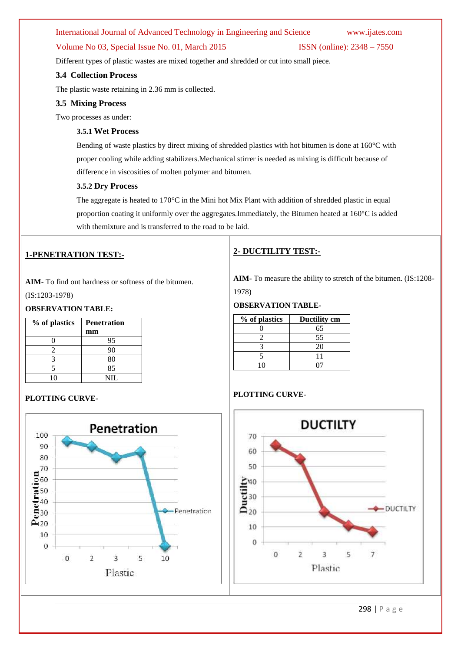# International Journal of Advanced Technology in Engineering and Science www.ijates.com

# Volume No 03, Special Issue No. 01, March 2015 ISSN (online): 2348 – 7550

Different types of plastic wastes are mixed together and shredded or cut into small piece.

#### **3.4 Collection Process**

The plastic waste retaining in 2.36 mm is collected.

#### **3.5 Mixing Process**

Two processes as under:

# **3.5.1 Wet Process**

Bending of waste plastics by direct mixing of shredded plastics with hot bitumen is done at 160°C with proper cooling while adding stabilizers.Mechanical stirrer is needed as mixing is difficult because of difference in viscosities of molten polymer and bitumen.

#### **3.5.2 Dry Process**

The aggregate is heated to  $170^{\circ}$ C in the Mini hot Mix Plant with addition of shredded plastic in equal proportion coating it uniformly over the aggregates.Immediately, the Bitumen heated at 160°C is added with themixture and is transferred to the road to be laid.

# **1-PENETRATION TEST:-**

**AIM**- To find out hardness or softness of the bitumen. (IS:1203-1978)

## **OBSERVATION TABLE:**

| % of plastics | <b>Penetration</b> |  |
|---------------|--------------------|--|
|               | mm                 |  |
|               | 95                 |  |
| 7             | 90                 |  |
|               | 80                 |  |
|               | 85                 |  |
|               | NIL.               |  |

## **PLOTTING CURVE-**



# **2- DUCTILITY TEST:-**

**AIM-** To measure the ability to stretch of the bitumen. (IS:1208- 1978)

#### **OBSERVATION TABLE-**

| % of plastics | Ductility cm |  |
|---------------|--------------|--|
|               | 65           |  |
|               | 55           |  |
|               | 20           |  |
|               |              |  |
|               |              |  |

# **PLOTTING CURVE-**



298 | P a g e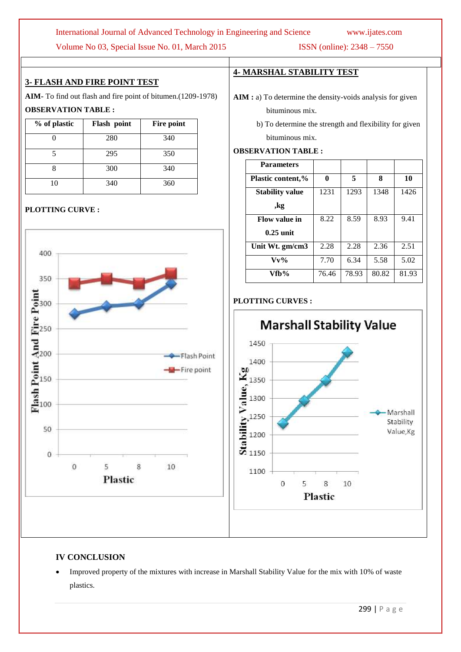# International Journal of Advanced Technology in Engineering and Science www.ijates.com

Volume No 03, Special Issue No. 01, March 2015 ISSN (online): 2348 – 7550

# **3- FLASH AND FIRE POINT TEST**

**AIM-** To find out flash and fire point of bitumen.(1209-1978)

# **OBSERVATION TABLE :**

| % of plastic | Flash point | Fire point |
|--------------|-------------|------------|
|              | 280         | 340        |
|              | 295         | 350        |
|              | 300         | 340        |
| 10           | 340         | 360        |

# **PLOTTING CURVE :**



# **4- MARSHAL STABILITY TEST**

**OBSERVATION TABLE :**

- AIM : a) To determine the density-voids analysis for given bituminous mix.
	- b) To determine the strength and flexibility for given bituminous mix.

# **Parameters Plastic content,% 0 5 8 10 Stability value ,kg** 1231 1293 1348 1426 **Flow value in 0.25 unit** 8.22 8.59 8.93 9.41 **Unit Wt. gm/cm3** 2.28 2.28 2.36 2.51 **Vv%** 7.70 6.34 5.58 5.02 **Vfb%** 76.46 78.93 80.82 81.93

# **PLOTTING CURVES :**



# **IV CONCLUSION**

 Improved property of the mixtures with increase in Marshall Stability Value for the mix with 10% of waste plastics.